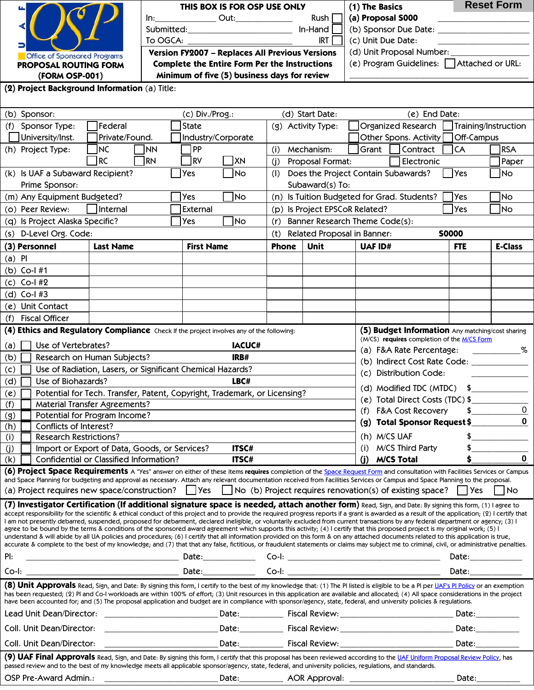| <b>Office of Sponsored Programs</b> |
|-------------------------------------|
| PROPOSAL ROUTING FORM               |
| (FORM OSP-001)                      |
|                                     |

| THIS BOX IS FOR OSP USE ONLY                    | (1) The Basics                           | <b>Reset Form</b>     |  |  |  |  |  |  |
|-------------------------------------------------|------------------------------------------|-----------------------|--|--|--|--|--|--|
| Out:<br>ln:                                     | Rush I                                   | (a) Proposal S000     |  |  |  |  |  |  |
| Submitted:                                      | $In$ -Hand                               | (b) Sponsor Due Date: |  |  |  |  |  |  |
| To OGCA:                                        | IRT                                      | (c) Unit Due Date:    |  |  |  |  |  |  |
| Version FY2007 - Replaces All Previous Versions | (d) Unit Proposal Number:                |                       |  |  |  |  |  |  |
| Complete the Entire Form Per the Instructions   | (e) Program Guidelines: Attached or URL: |                       |  |  |  |  |  |  |
| Minimum of five (5) business days for review    |                                          |                       |  |  |  |  |  |  |
| on (a) Title:                                   |                                          |                       |  |  |  |  |  |  |

**(2) Project Background Information** (a) Title:

| (b) Sponsor:                                                                                                                                                                                                                                                                                                                                                                                                                                                                                                                                                                                                                                                                                                                                                                                                                                                                                                                                                                                                                                                                                                                | (c) Div./Prog.:                                                                                                                                                          |                    |               | (d) Start Date:                                                |                                                    |                                                                                                                                                                                                                               | (e) End Date:                                    |                      |                                                                                                                                                                                                                               |  |  |  |
|-----------------------------------------------------------------------------------------------------------------------------------------------------------------------------------------------------------------------------------------------------------------------------------------------------------------------------------------------------------------------------------------------------------------------------------------------------------------------------------------------------------------------------------------------------------------------------------------------------------------------------------------------------------------------------------------------------------------------------------------------------------------------------------------------------------------------------------------------------------------------------------------------------------------------------------------------------------------------------------------------------------------------------------------------------------------------------------------------------------------------------|--------------------------------------------------------------------------------------------------------------------------------------------------------------------------|--------------------|---------------|----------------------------------------------------------------|----------------------------------------------------|-------------------------------------------------------------------------------------------------------------------------------------------------------------------------------------------------------------------------------|--------------------------------------------------|----------------------|-------------------------------------------------------------------------------------------------------------------------------------------------------------------------------------------------------------------------------|--|--|--|
| (f) Sponsor Type:                                                                                                                                                                                                                                                                                                                                                                                                                                                                                                                                                                                                                                                                                                                                                                                                                                                                                                                                                                                                                                                                                                           | Federal                                                                                                                                                                  | <b>State</b>       |               | (g) Activity Type:                                             |                                                    | Organized Research                                                                                                                                                                                                            |                                                  | Training/Instruction |                                                                                                                                                                                                                               |  |  |  |
| University/Inst.                                                                                                                                                                                                                                                                                                                                                                                                                                                                                                                                                                                                                                                                                                                                                                                                                                                                                                                                                                                                                                                                                                            | Private/Found.                                                                                                                                                           | Industry/Corporate |               |                                                                |                                                    |                                                                                                                                                                                                                               | Other Spons. Activity                            | Off-Campus           |                                                                                                                                                                                                                               |  |  |  |
| (h) Project Type:                                                                                                                                                                                                                                                                                                                                                                                                                                                                                                                                                                                                                                                                                                                                                                                                                                                                                                                                                                                                                                                                                                           | <b>NC</b><br><b>NN</b>                                                                                                                                                   | 1PP                |               | (i)                                                            | Mechanism:                                         | Grant                                                                                                                                                                                                                         | Contract                                         | <b>CA</b>            | <b>RSA</b>                                                                                                                                                                                                                    |  |  |  |
|                                                                                                                                                                                                                                                                                                                                                                                                                                                                                                                                                                                                                                                                                                                                                                                                                                                                                                                                                                                                                                                                                                                             | <b>RC</b><br><b>RN</b>                                                                                                                                                   | RV                 | XN            | (j)                                                            | Proposal Format:                                   |                                                                                                                                                                                                                               | Electronic                                       |                      | Paper                                                                                                                                                                                                                         |  |  |  |
| (k) Is UAF a Subaward Recipient?<br><b>Yes</b><br> No                                                                                                                                                                                                                                                                                                                                                                                                                                                                                                                                                                                                                                                                                                                                                                                                                                                                                                                                                                                                                                                                       |                                                                                                                                                                          |                    |               | Does the Project Contain Subawards?<br>$\Box$ Yes<br>No<br>(I) |                                                    |                                                                                                                                                                                                                               |                                                  |                      |                                                                                                                                                                                                                               |  |  |  |
| Prime Sponsor:                                                                                                                                                                                                                                                                                                                                                                                                                                                                                                                                                                                                                                                                                                                                                                                                                                                                                                                                                                                                                                                                                                              |                                                                                                                                                                          |                    |               | Subaward(s) To:                                                |                                                    |                                                                                                                                                                                                                               |                                                  |                      |                                                                                                                                                                                                                               |  |  |  |
| (m) Any Equipment Budgeted?                                                                                                                                                                                                                                                                                                                                                                                                                                                                                                                                                                                                                                                                                                                                                                                                                                                                                                                                                                                                                                                                                                 |                                                                                                                                                                          | Yes                | <b>No</b>     | (n) Is Tuition Budgeted for Grad. Students?                    |                                                    |                                                                                                                                                                                                                               |                                                  | <b>Yes</b>           | No                                                                                                                                                                                                                            |  |  |  |
| (o) Peer Review:<br>Internal<br>External                                                                                                                                                                                                                                                                                                                                                                                                                                                                                                                                                                                                                                                                                                                                                                                                                                                                                                                                                                                                                                                                                    |                                                                                                                                                                          |                    |               |                                                                | (p) Is Project EPSCoR Related?                     |                                                                                                                                                                                                                               | <b>Yes</b><br>No                                 |                      |                                                                                                                                                                                                                               |  |  |  |
| (q) Is Project Alaska Specific?                                                                                                                                                                                                                                                                                                                                                                                                                                                                                                                                                                                                                                                                                                                                                                                                                                                                                                                                                                                                                                                                                             |                                                                                                                                                                          | Yes                | No            | Banner Research Theme Code(s):<br>(r)                          |                                                    |                                                                                                                                                                                                                               |                                                  |                      |                                                                                                                                                                                                                               |  |  |  |
| (s) D-Level Org. Code:                                                                                                                                                                                                                                                                                                                                                                                                                                                                                                                                                                                                                                                                                                                                                                                                                                                                                                                                                                                                                                                                                                      |                                                                                                                                                                          |                    |               | (t)                                                            | Related Proposal in Banner:                        |                                                                                                                                                                                                                               |                                                  | <b>S0000</b>         |                                                                                                                                                                                                                               |  |  |  |
| (3) Personnel                                                                                                                                                                                                                                                                                                                                                                                                                                                                                                                                                                                                                                                                                                                                                                                                                                                                                                                                                                                                                                                                                                               | <b>Last Name</b>                                                                                                                                                         | <b>First Name</b>  |               | <b>Phone</b>                                                   | <b>Unit</b>                                        | <b>UAF ID#</b>                                                                                                                                                                                                                |                                                  | <b>FTE</b>           | <b>E-Class</b>                                                                                                                                                                                                                |  |  |  |
| $(a)$ PI                                                                                                                                                                                                                                                                                                                                                                                                                                                                                                                                                                                                                                                                                                                                                                                                                                                                                                                                                                                                                                                                                                                    |                                                                                                                                                                          |                    |               |                                                                |                                                    |                                                                                                                                                                                                                               |                                                  |                      |                                                                                                                                                                                                                               |  |  |  |
| (b) Co-I #1                                                                                                                                                                                                                                                                                                                                                                                                                                                                                                                                                                                                                                                                                                                                                                                                                                                                                                                                                                                                                                                                                                                 |                                                                                                                                                                          |                    |               |                                                                |                                                    |                                                                                                                                                                                                                               |                                                  |                      |                                                                                                                                                                                                                               |  |  |  |
| $(c)$ Co-I #2                                                                                                                                                                                                                                                                                                                                                                                                                                                                                                                                                                                                                                                                                                                                                                                                                                                                                                                                                                                                                                                                                                               |                                                                                                                                                                          |                    |               |                                                                |                                                    |                                                                                                                                                                                                                               |                                                  |                      |                                                                                                                                                                                                                               |  |  |  |
| (d) Co-l #3                                                                                                                                                                                                                                                                                                                                                                                                                                                                                                                                                                                                                                                                                                                                                                                                                                                                                                                                                                                                                                                                                                                 |                                                                                                                                                                          |                    |               |                                                                |                                                    |                                                                                                                                                                                                                               |                                                  |                      |                                                                                                                                                                                                                               |  |  |  |
| (e) Unit Contact                                                                                                                                                                                                                                                                                                                                                                                                                                                                                                                                                                                                                                                                                                                                                                                                                                                                                                                                                                                                                                                                                                            |                                                                                                                                                                          |                    |               |                                                                |                                                    |                                                                                                                                                                                                                               |                                                  |                      |                                                                                                                                                                                                                               |  |  |  |
| <b>Fiscal Officer</b><br>(f)                                                                                                                                                                                                                                                                                                                                                                                                                                                                                                                                                                                                                                                                                                                                                                                                                                                                                                                                                                                                                                                                                                |                                                                                                                                                                          |                    |               |                                                                |                                                    |                                                                                                                                                                                                                               |                                                  |                      |                                                                                                                                                                                                                               |  |  |  |
|                                                                                                                                                                                                                                                                                                                                                                                                                                                                                                                                                                                                                                                                                                                                                                                                                                                                                                                                                                                                                                                                                                                             | (4) Ethics and Regulatory Compliance Check If the project involves any of the following:                                                                                 |                    |               |                                                                |                                                    |                                                                                                                                                                                                                               | (5) Budget Information Any matching/cost sharing |                      |                                                                                                                                                                                                                               |  |  |  |
|                                                                                                                                                                                                                                                                                                                                                                                                                                                                                                                                                                                                                                                                                                                                                                                                                                                                                                                                                                                                                                                                                                                             |                                                                                                                                                                          |                    |               |                                                                |                                                    |                                                                                                                                                                                                                               | (M/CS) requires completion of the M/CS Form      |                      |                                                                                                                                                                                                                               |  |  |  |
| Use of Vertebrates?<br>(a)                                                                                                                                                                                                                                                                                                                                                                                                                                                                                                                                                                                                                                                                                                                                                                                                                                                                                                                                                                                                                                                                                                  |                                                                                                                                                                          |                    | <b>IACUC#</b> |                                                                | (a) F&A Rate Percentage:<br>$\%$ . The set of $\%$ |                                                                                                                                                                                                                               |                                                  |                      |                                                                                                                                                                                                                               |  |  |  |
| (b)                                                                                                                                                                                                                                                                                                                                                                                                                                                                                                                                                                                                                                                                                                                                                                                                                                                                                                                                                                                                                                                                                                                         | Research on Human Subjects?                                                                                                                                              |                    | IRB#          |                                                                | (b) Indirect Cost Rate Code:                       |                                                                                                                                                                                                                               |                                                  |                      |                                                                                                                                                                                                                               |  |  |  |
| (c)<br>Use of Radiation, Lasers, or Significant Chemical Hazards?                                                                                                                                                                                                                                                                                                                                                                                                                                                                                                                                                                                                                                                                                                                                                                                                                                                                                                                                                                                                                                                           |                                                                                                                                                                          |                    |               |                                                                |                                                    |                                                                                                                                                                                                                               | (c) Distribution Code:                           |                      |                                                                                                                                                                                                                               |  |  |  |
| Use of Biohazards?<br>(d)                                                                                                                                                                                                                                                                                                                                                                                                                                                                                                                                                                                                                                                                                                                                                                                                                                                                                                                                                                                                                                                                                                   |                                                                                                                                                                          |                    | LBC#          |                                                                |                                                    |                                                                                                                                                                                                                               | (d) Modified TDC (MTDC)                          | \$                   |                                                                                                                                                                                                                               |  |  |  |
| (e)                                                                                                                                                                                                                                                                                                                                                                                                                                                                                                                                                                                                                                                                                                                                                                                                                                                                                                                                                                                                                                                                                                                         | Potential for Tech. Transfer, Patent, Copyright, Trademark, or Licensing?                                                                                                |                    |               |                                                                |                                                    | (e) Total Direct Costs (TDC) \$                                                                                                                                                                                               |                                                  |                      |                                                                                                                                                                                                                               |  |  |  |
| (f)                                                                                                                                                                                                                                                                                                                                                                                                                                                                                                                                                                                                                                                                                                                                                                                                                                                                                                                                                                                                                                                                                                                         | <b>Material Transfer Agreements?</b>                                                                                                                                     |                    |               |                                                                | 0<br>(f) F&A Cost Recovery                         |                                                                                                                                                                                                                               |                                                  |                      |                                                                                                                                                                                                                               |  |  |  |
| (g)                                                                                                                                                                                                                                                                                                                                                                                                                                                                                                                                                                                                                                                                                                                                                                                                                                                                                                                                                                                                                                                                                                                         | Potential for Program Income?                                                                                                                                            |                    |               |                                                                |                                                    | (g) Total Sponsor Request\$                                                                                                                                                                                                   |                                                  |                      |                                                                                                                                                                                                                               |  |  |  |
| Conflicts of Interest?<br>(h)<br><b>Research Restrictions?</b><br>(i)                                                                                                                                                                                                                                                                                                                                                                                                                                                                                                                                                                                                                                                                                                                                                                                                                                                                                                                                                                                                                                                       |                                                                                                                                                                          |                    |               |                                                                |                                                    |                                                                                                                                                                                                                               | (h) M/CS UAF                                     | \$                   |                                                                                                                                                                                                                               |  |  |  |
| (j)                                                                                                                                                                                                                                                                                                                                                                                                                                                                                                                                                                                                                                                                                                                                                                                                                                                                                                                                                                                                                                                                                                                         | ITSC#<br>Import or Export of Data, Goods, or Services?                                                                                                                   |                    |               |                                                                |                                                    | (i)                                                                                                                                                                                                                           | <b>M/CS Third Party</b>                          |                      |                                                                                                                                                                                                                               |  |  |  |
| (k)                                                                                                                                                                                                                                                                                                                                                                                                                                                                                                                                                                                                                                                                                                                                                                                                                                                                                                                                                                                                                                                                                                                         | Confidential or Classified Information?                                                                                                                                  |                    | ITSC#         |                                                                |                                                    | (i)                                                                                                                                                                                                                           | <b>M/CS Total</b>                                |                      | 0                                                                                                                                                                                                                             |  |  |  |
|                                                                                                                                                                                                                                                                                                                                                                                                                                                                                                                                                                                                                                                                                                                                                                                                                                                                                                                                                                                                                                                                                                                             | (6) Project Space Requirements A "Yes" answer on either of these items requires completion of the Space Request Form and consultation with Facilities Services or Campus |                    |               |                                                                |                                                    |                                                                                                                                                                                                                               |                                                  |                      |                                                                                                                                                                                                                               |  |  |  |
| and Space Planning for budgeting and approval as necessary. Attach any relevant documentation received from Facilities Services or Campus and Space Planning to the proposal.                                                                                                                                                                                                                                                                                                                                                                                                                                                                                                                                                                                                                                                                                                                                                                                                                                                                                                                                               |                                                                                                                                                                          |                    |               |                                                                |                                                    |                                                                                                                                                                                                                               |                                                  |                      |                                                                                                                                                                                                                               |  |  |  |
| Yes <br>(a) Project requires new space/construction?<br>$\vert$ No (b) Project requires renovation(s) of existing space?<br>l I Yes<br> No                                                                                                                                                                                                                                                                                                                                                                                                                                                                                                                                                                                                                                                                                                                                                                                                                                                                                                                                                                                  |                                                                                                                                                                          |                    |               |                                                                |                                                    |                                                                                                                                                                                                                               |                                                  |                      |                                                                                                                                                                                                                               |  |  |  |
| (7) Investigator Certification (If additional signature space is needed, attach another form) Read, Sign, and Date: By signing this form, (1) I agree to<br>accept responsibility for the scientific & ethical conduct of this project and to provide the required progress reports if a grant is awarded as a result of the application; (2) I certify that<br>I am not presently debarred, suspended, proposed for debarment, declared ineligible, or voluntarily excluded from current transactions by any federal department or agency; (3) I<br>agree to be bound by the terms & conditions of the sponsored award agreement which supports this activity; (4) I certify that this proposed project is my original work; (5) I<br>understand & will abide by all UA policies and procedures; (6) I certify that all information provided on this form & on any attached documents related to this application is true,<br>accurate & complete to the best of my knowledge; and (7) that that any false, fictitious, or fraudulent statements or claims may subject me to criminal, civil, or administrative penalties. |                                                                                                                                                                          |                    |               |                                                                |                                                    |                                                                                                                                                                                                                               |                                                  |                      |                                                                                                                                                                                                                               |  |  |  |
| Pl:                                                                                                                                                                                                                                                                                                                                                                                                                                                                                                                                                                                                                                                                                                                                                                                                                                                                                                                                                                                                                                                                                                                         |                                                                                                                                                                          |                    |               |                                                                |                                                    |                                                                                                                                                                                                                               |                                                  | Date:____________    |                                                                                                                                                                                                                               |  |  |  |
|                                                                                                                                                                                                                                                                                                                                                                                                                                                                                                                                                                                                                                                                                                                                                                                                                                                                                                                                                                                                                                                                                                                             |                                                                                                                                                                          |                    |               |                                                                |                                                    | Date: and the state of the state of the state of the state of the state of the state of the state of the state                                                                                                                |                                                  |                      |                                                                                                                                                                                                                               |  |  |  |
| (8) Unit Approvals Read, Sign, and Date: By signing this form, I certify to the best of my knowledge that: (1) The PI listed is eligible to be a PI per UAF's PI Policy or an exemption<br>has been requested; (2) Pl and Co-I workloads are within 100% of effort; (3) Unit resources in this application are available and allocated; (4) All space considerations in the project<br>have been accounted for; and (5) The proposal application and budget are in compliance with sponsor/agency, state, federal, and university policies & regulations.                                                                                                                                                                                                                                                                                                                                                                                                                                                                                                                                                                   |                                                                                                                                                                          |                    |               |                                                                |                                                    |                                                                                                                                                                                                                               |                                                  |                      |                                                                                                                                                                                                                               |  |  |  |
|                                                                                                                                                                                                                                                                                                                                                                                                                                                                                                                                                                                                                                                                                                                                                                                                                                                                                                                                                                                                                                                                                                                             |                                                                                                                                                                          |                    |               |                                                                |                                                    |                                                                                                                                                                                                                               |                                                  |                      | Date:___________                                                                                                                                                                                                              |  |  |  |
| Coll. Unit Dean/Director:                                                                                                                                                                                                                                                                                                                                                                                                                                                                                                                                                                                                                                                                                                                                                                                                                                                                                                                                                                                                                                                                                                   |                                                                                                                                                                          |                    |               |                                                                |                                                    | Date: and the state of the state of the state of the state of the state of the state of the state of the state of the state of the state of the state of the state of the state of the state of the state of the state of the |                                                  |                      |                                                                                                                                                                                                                               |  |  |  |
| Coll. Unit Dean/Director:                                                                                                                                                                                                                                                                                                                                                                                                                                                                                                                                                                                                                                                                                                                                                                                                                                                                                                                                                                                                                                                                                                   |                                                                                                                                                                          |                    |               |                                                                |                                                    |                                                                                                                                                                                                                               |                                                  |                      | Date: and the state of the state of the state of the state of the state of the state of the state of the state of the state of the state of the state of the state of the state of the state of the state of the state of the |  |  |  |
| (9) UAF Final Approvals Read, Sign, and Date: By signing this form, I certify that this proposal has been reviewed according to the <u>UAF Uniform Proposal Review Policy</u> , has<br>passed review and to the best of my knowledge meets all applicable sponsor/agency, state, federal, and university policies, regulations, and standards.                                                                                                                                                                                                                                                                                                                                                                                                                                                                                                                                                                                                                                                                                                                                                                              |                                                                                                                                                                          |                    |               |                                                                |                                                    |                                                                                                                                                                                                                               |                                                  |                      |                                                                                                                                                                                                                               |  |  |  |
| OSP Pre-Award Admin.: _____________________                                                                                                                                                                                                                                                                                                                                                                                                                                                                                                                                                                                                                                                                                                                                                                                                                                                                                                                                                                                                                                                                                 |                                                                                                                                                                          | Date:              |               | AOR Approval: _____________                                    |                                                    |                                                                                                                                                                                                                               | Date:                                            |                      |                                                                                                                                                                                                                               |  |  |  |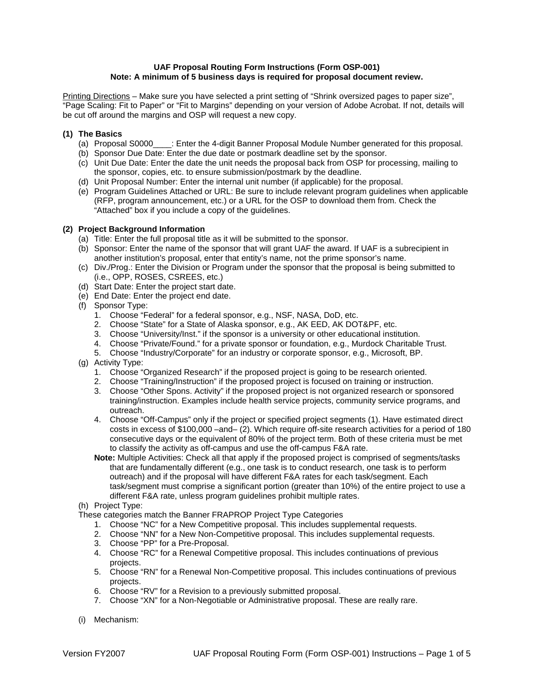### **UAF Proposal Routing Form Instructions (Form OSP-001) Note: A minimum of 5 business days is required for proposal document review.**

Printing Directions – Make sure you have selected a print setting of "Shrink oversized pages to paper size", "Page Scaling: Fit to Paper" or "Fit to Margins" depending on your version of Adobe Acrobat. If not, details will be cut off around the margins and OSP will request a new copy.

# **(1) The Basics**

- (a) Proposal S0000\_\_\_\_: Enter the 4-digit Banner Proposal Module Number generated for this proposal.
- (b) Sponsor Due Date: Enter the due date or postmark deadline set by the sponsor.
- (c) Unit Due Date: Enter the date the unit needs the proposal back from OSP for processing, mailing to the sponsor, copies, etc. to ensure submission/postmark by the deadline.
- (d) Unit Proposal Number: Enter the internal unit number (if applicable) for the proposal.
- (e) Program Guidelines Attached or URL: Be sure to include relevant program guidelines when applicable (RFP, program announcement, etc.) or a URL for the OSP to download them from. Check the "Attached" box if you include a copy of the guidelines.

### **(2) Project Background Information**

- (a) Title: Enter the full proposal title as it will be submitted to the sponsor.
- (b) Sponsor: Enter the name of the sponsor that will grant UAF the award. If UAF is a subrecipient in another institution's proposal, enter that entity's name, not the prime sponsor's name.
- (c) Div./Prog.: Enter the Division or Program under the sponsor that the proposal is being submitted to (i.e., OPP, ROSES, CSREES, etc.)
- (d) Start Date: Enter the project start date.
- (e) End Date: Enter the project end date.
- (f) Sponsor Type:
	- 1. Choose "Federal" for a federal sponsor, e.g., NSF, NASA, DoD, etc.
	- 2. Choose "State" for a State of Alaska sponsor, e.g., AK EED, AK DOT&PF, etc.
	- 3. Choose "University/Inst." if the sponsor is a university or other educational institution.
	- 4. Choose "Private/Found." for a private sponsor or foundation, e.g., Murdock Charitable Trust.
	- 5. Choose "Industry/Corporate" for an industry or corporate sponsor, e.g., Microsoft, BP.
- (g) Activity Type:
	- 1. Choose "Organized Research" if the proposed project is going to be research oriented.
	- 2. Choose "Training/Instruction" if the proposed project is focused on training or instruction.
	- 3. Choose "Other Spons. Activity" if the proposed project is not organized research or sponsored training/instruction. Examples include health service projects, community service programs, and outreach.
	- 4. Choose "Off-Campus" only if the project or specified project segments (1). Have estimated direct costs in excess of \$100,000 –and– (2). Which require off-site research activities for a period of 180 consecutive days or the equivalent of 80% of the project term. Both of these criteria must be met to classify the activity as off-campus and use the off-campus F&A rate.
	- **Note:** Multiple Activities: Check all that apply if the proposed project is comprised of segments/tasks that are fundamentally different (e.g., one task is to conduct research, one task is to perform outreach) and if the proposal will have different F&A rates for each task/segment. Each task/segment must comprise a significant portion (greater than 10%) of the entire project to use a different F&A rate, unless program guidelines prohibit multiple rates.
- (h) Project Type:
- These categories match the Banner FRAPROP Project Type Categories
	- 1. Choose "NC" for a New Competitive proposal. This includes supplemental requests.
	- 2. Choose "NN" for a New Non-Competitive proposal. This includes supplemental requests.
	- 3. Choose "PP" for a Pre-Proposal.
	- 4. Choose "RC" for a Renewal Competitive proposal. This includes continuations of previous projects.
	- 5. Choose "RN" for a Renewal Non-Competitive proposal. This includes continuations of previous projects.
	- 6. Choose "RV" for a Revision to a previously submitted proposal.
	- 7. Choose "XN" for a Non-Negotiable or Administrative proposal. These are really rare.
- (i) Mechanism: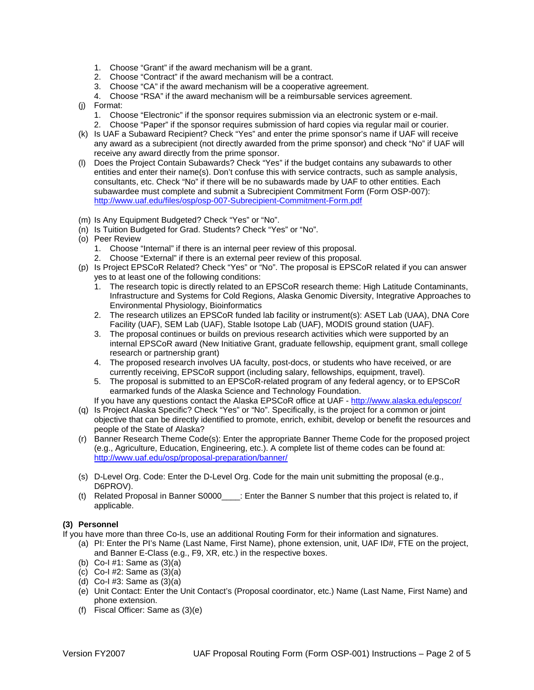- 1. Choose "Grant" if the award mechanism will be a grant.
- 2. Choose "Contract" if the award mechanism will be a contract.
- 3. Choose "CA" if the award mechanism will be a cooperative agreement.
- 4. Choose "RSA" if the award mechanism will be a reimbursable services agreement.
- (j) Format:
	- 1. Choose "Electronic" if the sponsor requires submission via an electronic system or e-mail.
	- 2. Choose "Paper" if the sponsor requires submission of hard copies via regular mail or courier.
- (k) Is UAF a Subaward Recipient? Check "Yes" and enter the prime sponsor's name if UAF will receive any award as a subrecipient (not directly awarded from the prime sponsor) and check "No" if UAF will receive any award directly from the prime sponsor.
- (l) Does the Project Contain Subawards? Check "Yes" if the budget contains any subawards to other entities and enter their name(s). Don't confuse this with service contracts, such as sample analysis, consultants, etc. Check "No" if there will be no subawards made by UAF to other entities. Each subawardee must complete and submit a Subrecipient Commitment Form (Form OSP-007): <http://www.uaf.edu/files/osp/osp-007-Subrecipient-Commitment-Form.pdf>
- (m) Is Any Equipment Budgeted? Check "Yes" or "No".
- (n) Is Tuition Budgeted for Grad. Students? Check "Yes" or "No".
- (o) Peer Review
	- 1. Choose "Internal" if there is an internal peer review of this proposal.
	- 2. Choose "External" if there is an external peer review of this proposal.
- (p) Is Project EPSCoR Related? Check "Yes" or "No". The proposal is EPSCoR related if you can answer yes to at least one of the following conditions:
	- 1. The research topic is directly related to an EPSCoR research theme: High Latitude Contaminants, Infrastructure and Systems for Cold Regions, Alaska Genomic Diversity, Integrative Approaches to Environmental Physiology, Bioinformatics
	- 2. The research utilizes an EPSCoR funded lab facility or instrument(s): ASET Lab (UAA), DNA Core Facility (UAF), SEM Lab (UAF), Stable Isotope Lab (UAF), MODIS ground station (UAF).
	- 3. The proposal continues or builds on previous research activities which were supported by an internal EPSCoR award (New Initiative Grant, graduate fellowship, equipment grant, small college research or partnership grant)
	- 4. The proposed research involves UA faculty, post-docs, or students who have received, or are currently receiving, EPSCoR support (including salary, fellowships, equipment, travel).
	- 5. The proposal is submitted to an EPSCoR-related program of any federal agency, or to EPSCoR earmarked funds of the Alaska Science and Technology Foundation.
	- If you have any questions contact the Alaska EPSCoR office at UAF <http://www.alaska.edu/epscor/>
- (q) Is Project Alaska Specific? Check "Yes" or "No". Specifically, is the project for a common or joint objective that can be directly identified to promote, enrich, exhibit, develop or benefit the resources and people of the State of Alaska?
- (r) Banner Research Theme Code(s): Enter the appropriate Banner Theme Code for the proposed project (e.g., Agriculture, Education, Engineering, etc.). A complete list of theme codes can be found at: <http://www.uaf.edu/osp/proposal-preparation/banner/>
- (s) D-Level Org. Code: Enter the D-Level Org. Code for the main unit submitting the proposal (e.g., D6PROV).
- (t) Related Proposal in Banner S0000\_\_\_\_: Enter the Banner S number that this project is related to, if applicable.

# **(3) Personnel**

If you have more than three Co-Is, use an additional Routing Form for their information and signatures.

- (a) PI: Enter the PI's Name (Last Name, First Name), phone extension, unit, UAF ID#, FTE on the project, and Banner E-Class (e.g., F9, XR, etc.) in the respective boxes.
- (b) Co-I #1: Same as  $(3)(a)$
- (c) Co-I #2: Same as (3)(a)
- (d) Co-I #3: Same as (3)(a)
- (e) Unit Contact: Enter the Unit Contact's (Proposal coordinator, etc.) Name (Last Name, First Name) and phone extension.
- (f) Fiscal Officer: Same as (3)(e)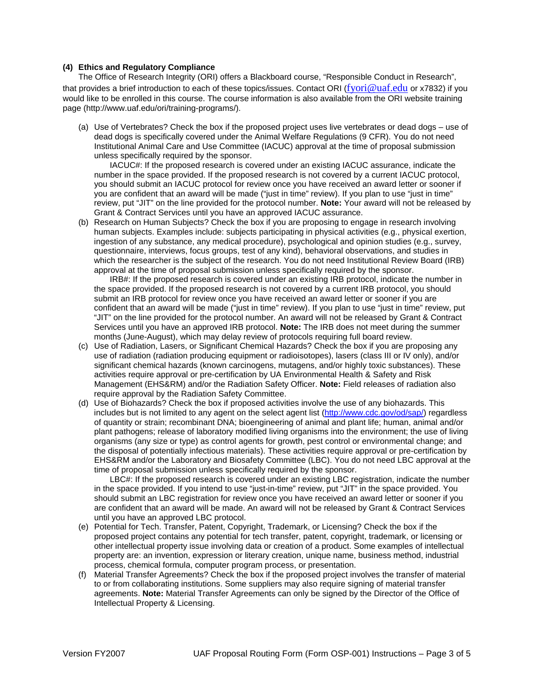### **(4) Ethics and Regulatory Compliance**

The Office of Research Integrity (ORI) offers a Blackboard course, "Responsible Conduct in Research", that provides a brief introduction to each of these topics/issues. Contact ORI ([fyori@uaf.edu](mailto:fyori@uaf.edu) or x7832) if you would like to be enrolled in this course. The course information is also available from the ORI website training page (http://www.uaf.edu/ori/training-programs/).

(a) Use of Vertebrates? Check the box if the proposed project uses live vertebrates or dead dogs – use of dead dogs is specifically covered under the Animal Welfare Regulations (9 CFR). You do not need Institutional Animal Care and Use Committee (IACUC) approval at the time of proposal submission unless specifically required by the sponsor.

IACUC#: If the proposed research is covered under an existing IACUC assurance, indicate the number in the space provided. If the proposed research is not covered by a current IACUC protocol, you should submit an IACUC protocol for review once you have received an award letter or sooner if you are confident that an award will be made ("just in time" review). If you plan to use "just in time" review, put "JIT" on the line provided for the protocol number. **Note:** Your award will not be released by Grant & Contract Services until you have an approved IACUC assurance.

(b) Research on Human Subjects? Check the box if you are proposing to engage in research involving human subjects. Examples include: subjects participating in physical activities (e.g., physical exertion, ingestion of any substance, any medical procedure), psychological and opinion studies (e.g., survey, questionnaire, interviews, focus groups, test of any kind), behavioral observations, and studies in which the researcher is the subject of the research. You do not need Institutional Review Board (IRB) approval at the time of proposal submission unless specifically required by the sponsor.

IRB#: If the proposed research is covered under an existing IRB protocol, indicate the number in the space provided. If the proposed research is not covered by a current IRB protocol, you should submit an IRB protocol for review once you have received an award letter or sooner if you are confident that an award will be made ("just in time" review). If you plan to use "just in time" review, put "JIT" on the line provided for the protocol number. An award will not be released by Grant & Contract Services until you have an approved IRB protocol. **Note:** The IRB does not meet during the summer months (June-August), which may delay review of protocols requiring full board review.

- (c) Use of Radiation, Lasers, or Significant Chemical Hazards? Check the box if you are proposing any use of radiation (radiation producing equipment or radioisotopes), lasers (class III or IV only), and/or significant chemical hazards (known carcinogens, mutagens, and/or highly toxic substances). These activities require approval or pre-certification by UA Environmental Health & Safety and Risk Management (EHS&RM) and/or the Radiation Safety Officer. **Note:** Field releases of radiation also require approval by the Radiation Safety Committee.
- (d) Use of Biohazards? Check the box if proposed activities involve the use of any biohazards. This includes but is not limited to any agent on the select agent list [\(http://www.cdc.gov/od/sap/\)](http://www.cdc.gov/od/sap/) regardless of quantity or strain; recombinant DNA; bioengineering of animal and plant life; human, animal and/or plant pathogens; release of laboratory modified living organisms into the environment; the use of living organisms (any size or type) as control agents for growth, pest control or environmental change; and the disposal of potentially infectious materials). These activities require approval or pre-certification by EHS&RM and/or the Laboratory and Biosafety Committee (LBC). You do not need LBC approval at the time of proposal submission unless specifically required by the sponsor.

LBC#: If the proposed research is covered under an existing LBC registration, indicate the number in the space provided. If you intend to use "just-in-time" review, put "JIT" in the space provided. You should submit an LBC registration for review once you have received an award letter or sooner if you are confident that an award will be made. An award will not be released by Grant & Contract Services until you have an approved LBC protocol.

- (e) Potential for Tech. Transfer, Patent, Copyright, Trademark, or Licensing? Check the box if the proposed project contains any potential for tech transfer, patent, copyright, trademark, or licensing or other intellectual property issue involving data or creation of a product. Some examples of intellectual property are: an invention, expression or literary creation, unique name, business method, industrial process, chemical formula, computer program process, or presentation.
- (f) Material Transfer Agreements? Check the box if the proposed project involves the transfer of material to or from collaborating institutions. Some suppliers may also require signing of material transfer agreements. **Note:** Material Transfer Agreements can only be signed by the Director of the Office of Intellectual Property & Licensing.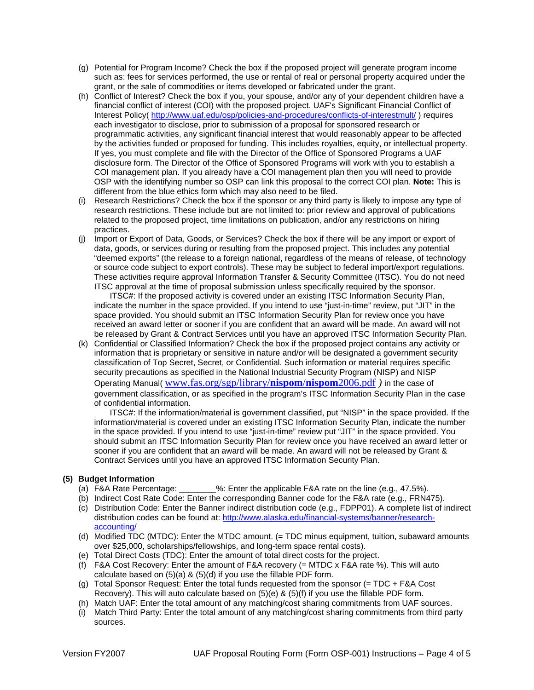- (g) Potential for Program Income? Check the box if the proposed project will generate program income such as: fees for services performed, the use or rental of real or personal property acquired under the grant, or the sale of commodities or items developed or fabricated under the grant.
- (h) Conflict of Interest? Check the box if you, your spouse, and/or any of your dependent children have a financial conflict of interest (COI) with the proposed project. UAF's Significant Financial Conflict of Interest Policy( <http://www.uaf.edu/osp/policies-and-procedures/conflicts-of-interestmult/> ) requires each investigator to disclose, prior to submission of a proposal for sponsored research or programmatic activities, any significant financial interest that would reasonably appear to be affected by the activities funded or proposed for funding. This includes royalties, equity, or intellectual property. If yes, you must complete and file with the Director of the Office of Sponsored Programs a UAF disclosure form. The Director of the Office of Sponsored Programs will work with you to establish a COI management plan. If you already have a COI management plan then you will need to provide OSP with the identifying number so OSP can link this proposal to the correct COI plan. **Note:** This is different from the blue ethics form which may also need to be filed.
- (i) Research Restrictions? Check the box if the sponsor or any third party is likely to impose any type of research restrictions. These include but are not limited to: prior review and approval of publications related to the proposed project, time limitations on publication, and/or any restrictions on hiring practices.
- (j) Import or Export of Data, Goods, or Services? Check the box if there will be any import or export of data, goods, or services during or resulting from the proposed project. This includes any potential "deemed exports" (the release to a foreign national, regardless of the means of release, of technology or source code subject to export controls). These may be subject to federal import/export regulations. These activities require approval Information Transfer & Security Committee (ITSC). You do not need ITSC approval at the time of proposal submission unless specifically required by the sponsor.

ITSC#: If the proposed activity is covered under an existing ITSC Information Security Plan, indicate the number in the space provided. If you intend to use "just-in-time" review, put "JIT" in the space provided. You should submit an ITSC Information Security Plan for review once you have received an award letter or sooner if you are confident that an award will be made. An award will not be released by Grant & Contract Services until you have an approved ITSC Information Security Plan.

(k) Confidential or Classified Information? Check the box if the proposed project contains any activity or information that is proprietary or sensitive in nature and/or will be designated a government security classification of Top Secret, Secret, or Confidential. Such information or material requires specific security precautions as specified in the National Industrial Security Program (NISP) and NISP Operating Manual( [www.fas.org/sgp/library/](http://www.fas.org/sgp/library/nispom/nispom2006.pdf)**nispom**/**nispom**2006.pdf *)* in the case of government classification, or as specified in the program's ITSC Information Security Plan in the case of confidential information.

ITSC#: If the information/material is government classified, put "NISP" in the space provided. If the information/material is covered under an existing ITSC Information Security Plan, indicate the number in the space provided. If you intend to use "just-in-time" review put "JIT" in the space provided. You should submit an ITSC Information Security Plan for review once you have received an award letter or sooner if you are confident that an award will be made. An award will not be released by Grant & Contract Services until you have an approved ITSC Information Security Plan.

- **(5) Budget Information**  $\frac{1}{2}$ %: Enter the applicable F&A rate on the line (e.g., 47.5%).
	- (b) Indirect Cost Rate Code: Enter the corresponding Banner code for the F&A rate (e.g., FRN475).
	- (c) Distribution Code: Enter the Banner indirect distribution code (e.g., FDPP01). A complete list of indirect distribution codes can be found at: [http://www.alaska.edu/financial-systems/banner/research](http://www.alaska.edu/financial-systems/banner/research-accounting/)[accounting/](http://www.alaska.edu/financial-systems/banner/research-accounting/)
	- (d) Modified TDC (MTDC): Enter the MTDC amount. (= TDC minus equipment, tuition, subaward amounts over \$25,000, scholarships/fellowships, and long-term space rental costs).
	- (e) Total Direct Costs (TDC): Enter the amount of total direct costs for the project.
	- (f) F&A Cost Recovery: Enter the amount of F&A recovery (= MTDC x F&A rate %). This will auto calculate based on (5)(a) & (5)(d) if you use the fillable PDF form.
	- (g) Total Sponsor Request: Enter the total funds requested from the sponsor (= TDC + F&A Cost Recovery). This will auto calculate based on  $(5)(e)$  &  $(5)(f)$  if you use the fillable PDF form.
	- (h) Match UAF: Enter the total amount of any matching/cost sharing commitments from UAF sources.
	- (i) Match Third Party: Enter the total amount of any matching/cost sharing commitments from third party sources.